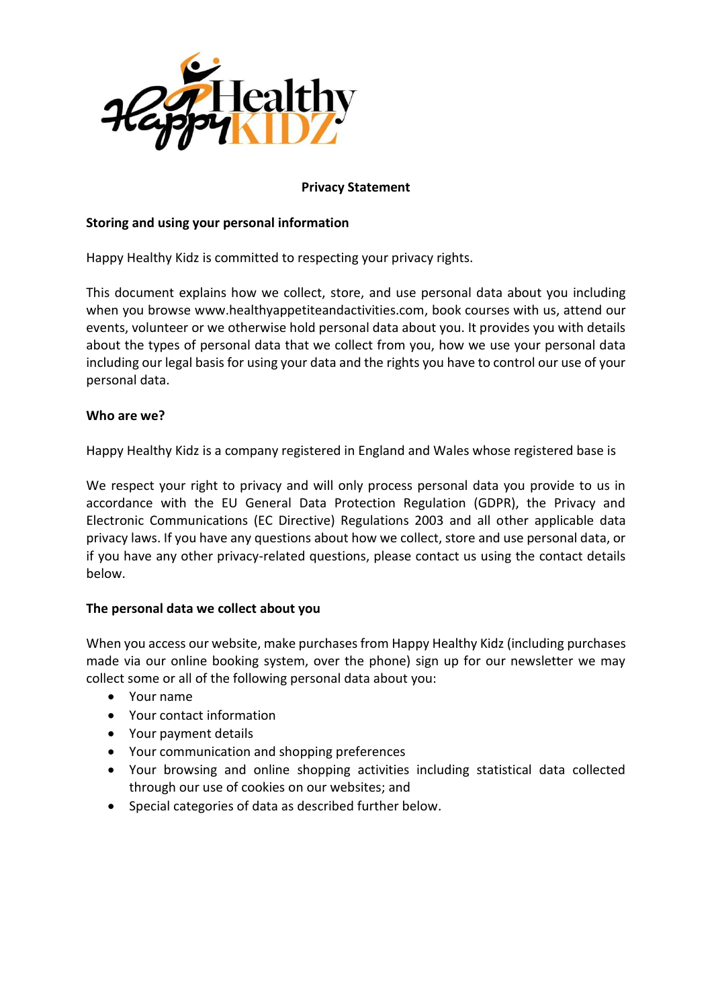

## **Privacy Statement**

### **Storing and using your personal information**

Happy Healthy Kidz is committed to respecting your privacy rights.

This document explains how we collect, store, and use personal data about you including when you browse www.healthyappetiteandactivities.com, book courses with us, attend our events, volunteer or we otherwise hold personal data about you. It provides you with details about the types of personal data that we collect from you, how we use your personal data including our legal basis for using your data and the rights you have to control our use of your personal data.

### **Who are we?**

Happy Healthy Kidz is a company registered in England and Wales whose registered base is

We respect your right to privacy and will only process personal data you provide to us in accordance with the EU General Data Protection Regulation (GDPR), the Privacy and Electronic Communications (EC Directive) Regulations 2003 and all other applicable data privacy laws. If you have any questions about how we collect, store and use personal data, or if you have any other privacy-related questions, please contact us using the contact details below.

### **The personal data we collect about you**

When you access our website, make purchases from Happy Healthy Kidz (including purchases made via our online booking system, over the phone) sign up for our newsletter we may collect some or all of the following personal data about you:

- Your name
- Your contact information
- Your payment details
- Your communication and shopping preferences
- Your browsing and online shopping activities including statistical data collected through our use of cookies on our websites; and
- Special categories of data as described further below.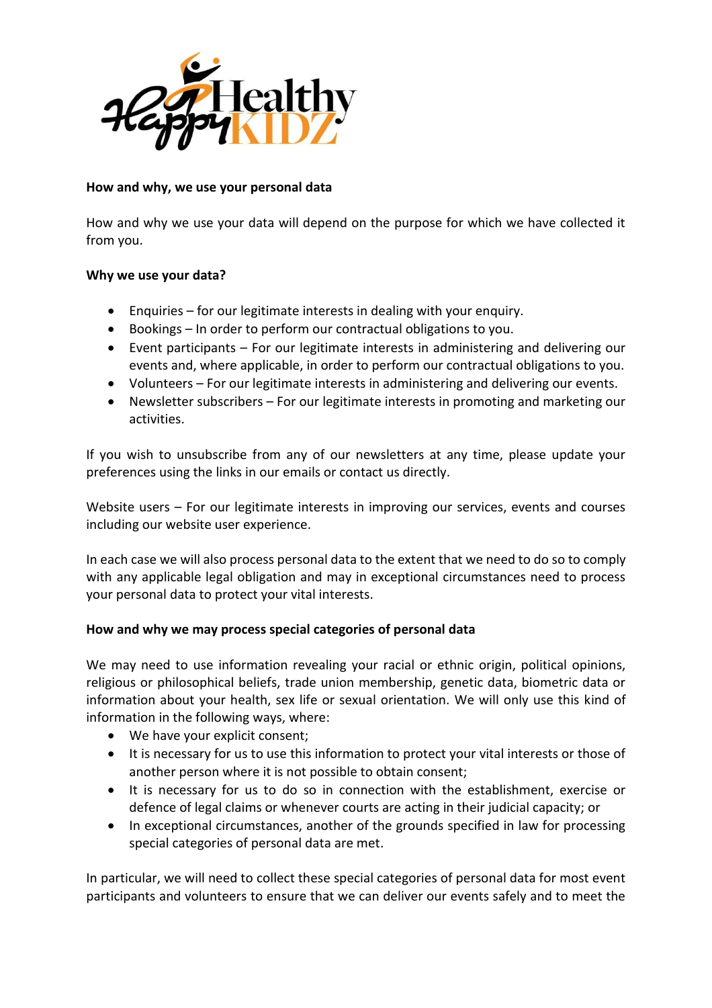

## **How and why, we use your personal data**

How and why we use your data will depend on the purpose for which we have collected it from you.

## **Why we use your data?**

- Enquiries for our legitimate interests in dealing with your enquiry.
- Bookings In order to perform our contractual obligations to you.
- Event participants For our legitimate interests in administering and delivering our events and, where applicable, in order to perform our contractual obligations to you.
- Volunteers For our legitimate interests in administering and delivering our events.
- Newsletter subscribers For our legitimate interests in promoting and marketing our activities.

If you wish to unsubscribe from any of our newsletters at any time, please update your preferences using the links in our emails or contact us directly.

Website users – For our legitimate interests in improving our services, events and courses including our website user experience.

In each case we will also process personal data to the extent that we need to do so to comply with any applicable legal obligation and may in exceptional circumstances need to process your personal data to protect your vital interests.

# **How and why we may process special categories of personal data**

We may need to use information revealing your racial or ethnic origin, political opinions, religious or philosophical beliefs, trade union membership, genetic data, biometric data or information about your health, sex life or sexual orientation. We will only use this kind of information in the following ways, where:

- We have your explicit consent;
- It is necessary for us to use this information to protect your vital interests or those of another person where it is not possible to obtain consent;
- It is necessary for us to do so in connection with the establishment, exercise or defence of legal claims or whenever courts are acting in their judicial capacity; or
- In exceptional circumstances, another of the grounds specified in law for processing special categories of personal data are met.

In particular, we will need to collect these special categories of personal data for most event participants and volunteers to ensure that we can deliver our events safely and to meet the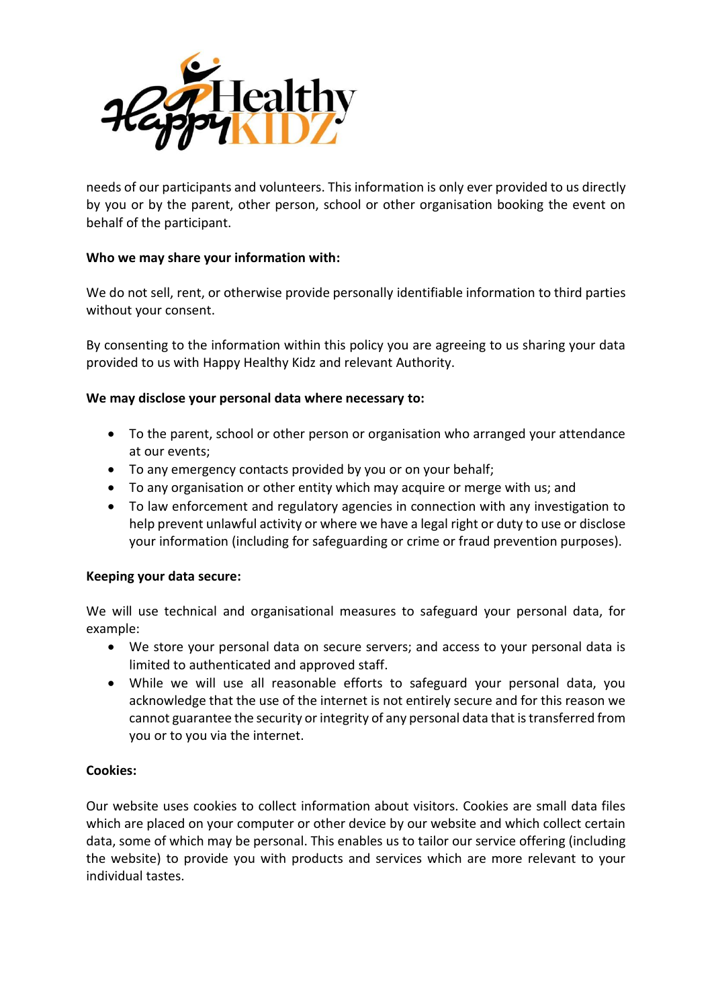

needs of our participants and volunteers. This information is only ever provided to us directly by you or by the parent, other person, school or other organisation booking the event on behalf of the participant.

## **Who we may share your information with:**

We do not sell, rent, or otherwise provide personally identifiable information to third parties without your consent.

By consenting to the information within this policy you are agreeing to us sharing your data provided to us with Happy Healthy Kidz and relevant Authority.

## **We may disclose your personal data where necessary to:**

- To the parent, school or other person or organisation who arranged your attendance at our events;
- To any emergency contacts provided by you or on your behalf;
- To any organisation or other entity which may acquire or merge with us; and
- To law enforcement and regulatory agencies in connection with any investigation to help prevent unlawful activity or where we have a legal right or duty to use or disclose your information (including for safeguarding or crime or fraud prevention purposes).

# **Keeping your data secure:**

We will use technical and organisational measures to safeguard your personal data, for example:

- We store your personal data on secure servers; and access to your personal data is limited to authenticated and approved staff.
- While we will use all reasonable efforts to safeguard your personal data, you acknowledge that the use of the internet is not entirely secure and for this reason we cannot guarantee the security or integrity of any personal data that is transferred from you or to you via the internet.

### **Cookies:**

Our website uses cookies to collect information about visitors. Cookies are small data files which are placed on your computer or other device by our website and which collect certain data, some of which may be personal. This enables us to tailor our service offering (including the website) to provide you with products and services which are more relevant to your individual tastes.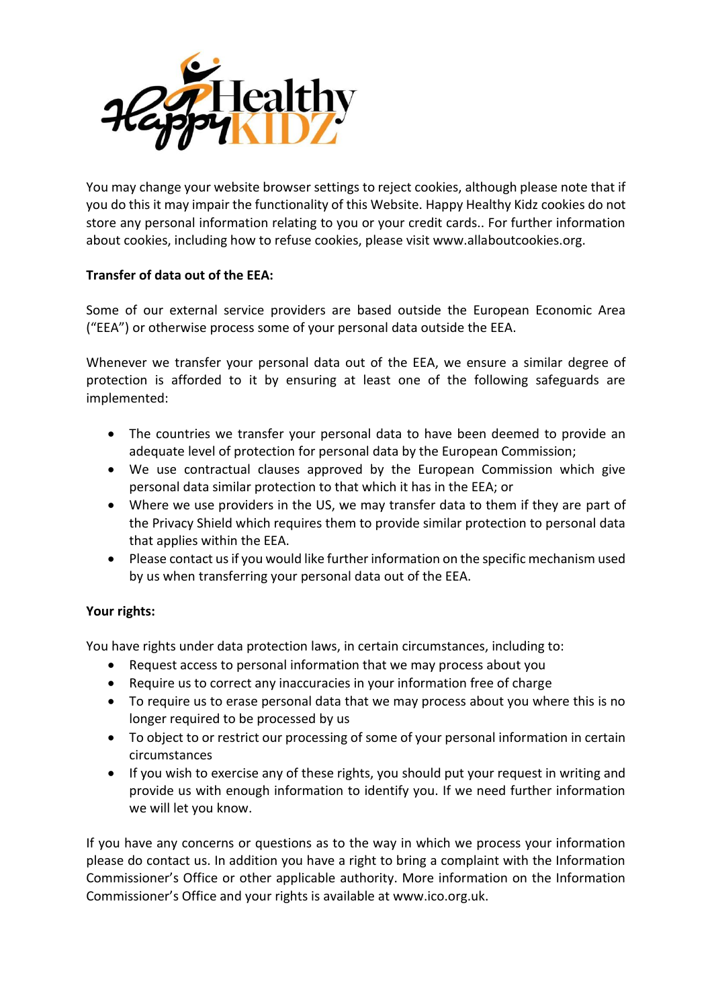

You may change your website browser settings to reject cookies, although please note that if you do this it may impair the functionality of this Website. Happy Healthy Kidz cookies do not store any personal information relating to you or your credit cards.. For further information about cookies, including how to refuse cookies, please visit www.allaboutcookies.org.

# **Transfer of data out of the EEA:**

Some of our external service providers are based outside the European Economic Area ("EEA") or otherwise process some of your personal data outside the EEA.

Whenever we transfer your personal data out of the EEA, we ensure a similar degree of protection is afforded to it by ensuring at least one of the following safeguards are implemented:

- The countries we transfer your personal data to have been deemed to provide an adequate level of protection for personal data by the European Commission;
- We use contractual clauses approved by the European Commission which give personal data similar protection to that which it has in the EEA; or
- Where we use providers in the US, we may transfer data to them if they are part of the Privacy Shield which requires them to provide similar protection to personal data that applies within the EEA.
- Please contact us if you would like further information on the specific mechanism used by us when transferring your personal data out of the EEA.

### **Your rights:**

You have rights under data protection laws, in certain circumstances, including to:

- Request access to personal information that we may process about you
- Require us to correct any inaccuracies in your information free of charge
- To require us to erase personal data that we may process about you where this is no longer required to be processed by us
- To object to or restrict our processing of some of your personal information in certain circumstances
- If you wish to exercise any of these rights, you should put your request in writing and provide us with enough information to identify you. If we need further information we will let you know.

If you have any concerns or questions as to the way in which we process your information please do contact us. In addition you have a right to bring a complaint with the Information Commissioner's Office or other applicable authority. More information on the Information Commissioner's Office and your rights is available at www.ico.org.uk.